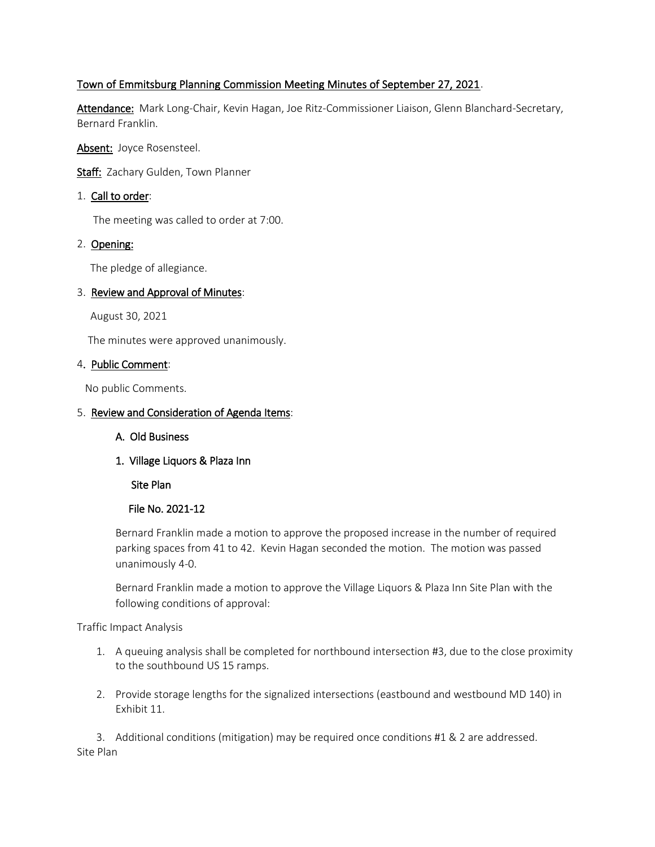# Town of Emmitsburg Planning Commission Meeting Minutes of September 27, 2021.

Attendance: Mark Long-Chair, Kevin Hagan, Joe Ritz-Commissioner Liaison, Glenn Blanchard-Secretary, Bernard Franklin.

Absent: Joyce Rosensteel.

Staff: Zachary Gulden, Town Planner

#### 1. Call to order:

The meeting was called to order at 7:00.

## 2. Opening:

The pledge of allegiance.

#### 3. Review and Approval of Minutes:

August 30, 2021

The minutes were approved unanimously.

#### 4. Public Comment:

No public Comments.

#### 5. Review and Consideration of Agenda Items:

- A. Old Business
- 1. Village Liquors & Plaza Inn

Site Plan

## File No. 2021-12

Bernard Franklin made a motion to approve the proposed increase in the number of required parking spaces from 41 to 42. Kevin Hagan seconded the motion. The motion was passed unanimously 4-0.

Bernard Franklin made a motion to approve the Village Liquors & Plaza Inn Site Plan with the following conditions of approval:

Traffic Impact Analysis

- 1. A queuing analysis shall be completed for northbound intersection #3, due to the close proximity to the southbound US 15 ramps.
- 2. Provide storage lengths for the signalized intersections (eastbound and westbound MD 140) in Exhibit 11.

3. Additional conditions (mitigation) may be required once conditions #1 & 2 are addressed. Site Plan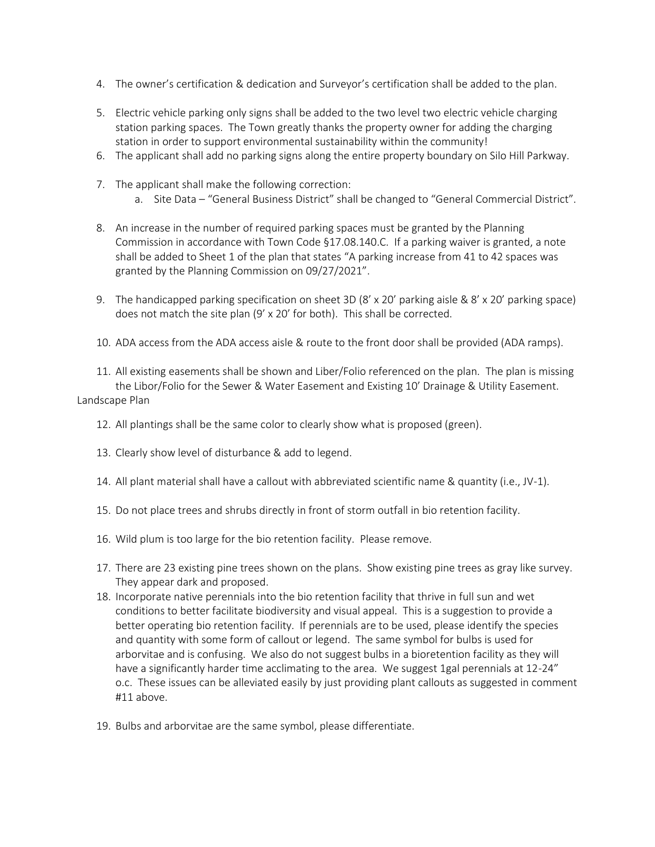- 4. The owner's certification & dedication and Surveyor's certification shall be added to the plan.
- 5. Electric vehicle parking only signs shall be added to the two level two electric vehicle charging station parking spaces. The Town greatly thanks the property owner for adding the charging station in order to support environmental sustainability within the community!
- 6. The applicant shall add no parking signs along the entire property boundary on Silo Hill Parkway.
- 7. The applicant shall make the following correction:
	- a. Site Data "General Business District" shall be changed to "General Commercial District".
- 8. An increase in the number of required parking spaces must be granted by the Planning Commission in accordance with Town Code §17.08.140.C. If a parking waiver is granted, a note shall be added to Sheet 1 of the plan that states "A parking increase from 41 to 42 spaces was granted by the Planning Commission on 09/27/2021".
- 9. The handicapped parking specification on sheet 3D (8' x 20' parking aisle & 8' x 20' parking space) does not match the site plan (9' x 20' for both). This shall be corrected.
- 10. ADA access from the ADA access aisle & route to the front door shall be provided (ADA ramps).

11. All existing easements shall be shown and Liber/Folio referenced on the plan. The plan is missing the Libor/Folio for the Sewer & Water Easement and Existing 10' Drainage & Utility Easement. Landscape Plan

- 12. All plantings shall be the same color to clearly show what is proposed (green).
- 13. Clearly show level of disturbance & add to legend.
- 14. All plant material shall have a callout with abbreviated scientific name & quantity (i.e., JV-1).
- 15. Do not place trees and shrubs directly in front of storm outfall in bio retention facility.
- 16. Wild plum is too large for the bio retention facility. Please remove.
- 17. There are 23 existing pine trees shown on the plans. Show existing pine trees as gray like survey. They appear dark and proposed.
- 18. Incorporate native perennials into the bio retention facility that thrive in full sun and wet conditions to better facilitate biodiversity and visual appeal. This is a suggestion to provide a better operating bio retention facility. If perennials are to be used, please identify the species and quantity with some form of callout or legend. The same symbol for bulbs is used for arborvitae and is confusing. We also do not suggest bulbs in a bioretention facility as they will have a significantly harder time acclimating to the area. We suggest 1 gal perennials at 12-24" o.c. These issues can be alleviated easily by just providing plant callouts as suggested in comment #11 above.
- 19. Bulbs and arborvitae are the same symbol, please differentiate.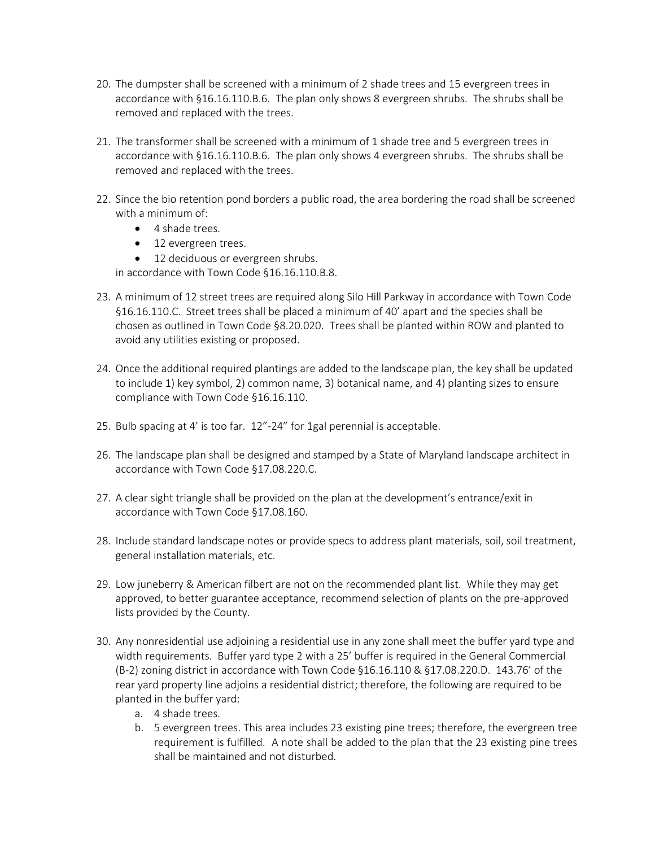- 20. The dumpster shall be screened with a minimum of 2 shade trees and 15 evergreen trees in accordance with §16.16.110.B.6. The plan only shows 8 evergreen shrubs. The shrubs shall be removed and replaced with the trees.
- 21. The transformer shall be screened with a minimum of 1 shade tree and 5 evergreen trees in accordance with §16.16.110.B.6. The plan only shows 4 evergreen shrubs. The shrubs shall be removed and replaced with the trees.
- 22. Since the bio retention pond borders a public road, the area bordering the road shall be screened with a minimum of:
	- 4 shade trees.
	- 12 evergreen trees.
	- 12 deciduous or evergreen shrubs.

in accordance with Town Code §16.16.110.B.8.

- 23. A minimum of 12 street trees are required along Silo Hill Parkway in accordance with Town Code §16.16.110.C. Street trees shall be placed a minimum of 40' apart and the species shall be chosen as outlined in Town Code §8.20.020. Trees shall be planted within ROW and planted to avoid any utilities existing or proposed.
- 24. Once the additional required plantings are added to the landscape plan, the key shall be updated to include 1) key symbol, 2) common name, 3) botanical name, and 4) planting sizes to ensure compliance with Town Code §16.16.110.
- 25. Bulb spacing at 4' is too far. 12"-24" for 1gal perennial is acceptable.
- 26. The landscape plan shall be designed and stamped by a State of Maryland landscape architect in accordance with Town Code §17.08.220.C.
- 27. A clear sight triangle shall be provided on the plan at the development's entrance/exit in accordance with Town Code §17.08.160.
- 28. Include standard landscape notes or provide specs to address plant materials, soil, soil treatment, general installation materials, etc.
- 29. Low juneberry & American filbert are not on the recommended plant list. While they may get approved, to better guarantee acceptance, recommend selection of plants on the pre-approved lists provided by the County.
- 30. Any nonresidential use adjoining a residential use in any zone shall meet the buffer yard type and width requirements. Buffer yard type 2 with a 25' buffer is required in the General Commercial (B-2) zoning district in accordance with Town Code §16.16.110 & §17.08.220.D. 143.76' of the rear yard property line adjoins a residential district; therefore, the following are required to be planted in the buffer yard:
	- a. 4 shade trees.
	- b. 5 evergreen trees. This area includes 23 existing pine trees; therefore, the evergreen tree requirement is fulfilled. A note shall be added to the plan that the 23 existing pine trees shall be maintained and not disturbed.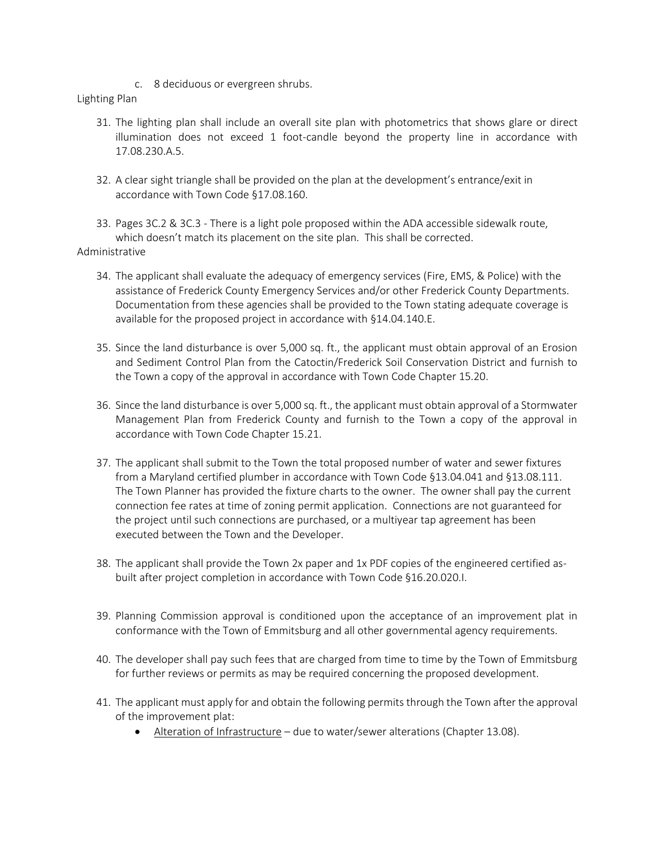c. 8 deciduous or evergreen shrubs.

#### Lighting Plan

- 31. The lighting plan shall include an overall site plan with photometrics that shows glare or direct illumination does not exceed 1 foot-candle beyond the property line in accordance with 17.08.230.A.5.
- 32. A clear sight triangle shall be provided on the plan at the development's entrance/exit in accordance with Town Code §17.08.160.
- 33. Pages 3C.2 & 3C.3 There is a light pole proposed within the ADA accessible sidewalk route, which doesn't match its placement on the site plan. This shall be corrected. Administrative
	- 34. The applicant shall evaluate the adequacy of emergency services (Fire, EMS, & Police) with the assistance of Frederick County Emergency Services and/or other Frederick County Departments. Documentation from these agencies shall be provided to the Town stating adequate coverage is available for the proposed project in accordance with §14.04.140.E.
	- 35. Since the land disturbance is over 5,000 sq. ft., the applicant must obtain approval of an Erosion and Sediment Control Plan from the Catoctin/Frederick Soil Conservation District and furnish to the Town a copy of the approval in accordance with Town Code Chapter 15.20.
	- 36. Since the land disturbance is over 5,000 sq. ft., the applicant must obtain approval of a Stormwater Management Plan from Frederick County and furnish to the Town a copy of the approval in accordance with Town Code Chapter 15.21.
	- 37. The applicant shall submit to the Town the total proposed number of water and sewer fixtures from a Maryland certified plumber in accordance with Town Code §13.04.041 and §13.08.111. The Town Planner has provided the fixture charts to the owner. The owner shall pay the current connection fee rates at time of zoning permit application. Connections are not guaranteed for the project until such connections are purchased, or a multiyear tap agreement has been executed between the Town and the Developer.
	- 38. The applicant shall provide the Town 2x paper and 1x PDF copies of the engineered certified asbuilt after project completion in accordance with Town Code §16.20.020.I.
	- 39. Planning Commission approval is conditioned upon the acceptance of an improvement plat in conformance with the Town of Emmitsburg and all other governmental agency requirements.
	- 40. The developer shall pay such fees that are charged from time to time by the Town of Emmitsburg for further reviews or permits as may be required concerning the proposed development.
	- 41. The applicant must apply for and obtain the following permits through the Town after the approval of the improvement plat:
		- Alteration of Infrastructure due to water/sewer alterations (Chapter 13.08).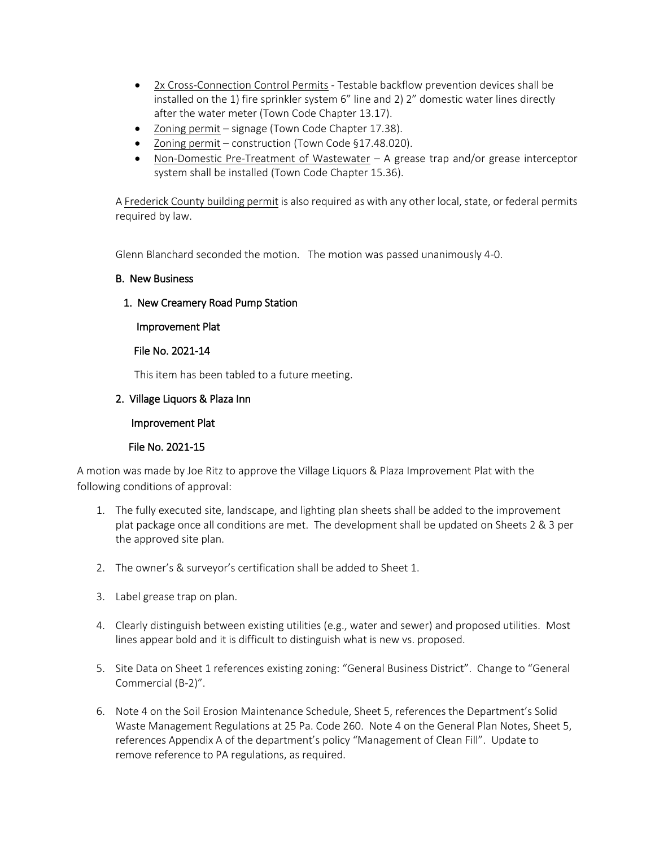- 2x Cross-Connection Control Permits Testable backflow prevention devices shall be installed on the 1) fire sprinkler system 6" line and 2) 2" domestic water lines directly after the water meter (Town Code Chapter 13.17).
- Zoning permit signage (Town Code Chapter 17.38).
- Zoning permit construction (Town Code §17.48.020).
- Non-Domestic Pre-Treatment of Wastewater A grease trap and/or grease interceptor system shall be installed (Town Code Chapter 15.36).

A Frederick County building permit is also required as with any other local, state, or federal permits required by law.

Glenn Blanchard seconded the motion. The motion was passed unanimously 4-0.

#### B. New Business

## 1. New Creamery Road Pump Station

Improvement Plat

#### File No. 2021-14

This item has been tabled to a future meeting.

## 2. Village Liquors & Plaza Inn

#### Improvement Plat

## File No. 2021-15

A motion was made by Joe Ritz to approve the Village Liquors & Plaza Improvement Plat with the following conditions of approval:

- 1. The fully executed site, landscape, and lighting plan sheets shall be added to the improvement plat package once all conditions are met. The development shall be updated on Sheets 2 & 3 per the approved site plan.
- 2. The owner's & surveyor's certification shall be added to Sheet 1.
- 3. Label grease trap on plan.
- 4. Clearly distinguish between existing utilities (e.g., water and sewer) and proposed utilities. Most lines appear bold and it is difficult to distinguish what is new vs. proposed.
- 5. Site Data on Sheet 1 references existing zoning: "General Business District". Change to "General Commercial (B-2)".
- 6. Note 4 on the Soil Erosion Maintenance Schedule, Sheet 5, references the Department's Solid Waste Management Regulations at 25 Pa. Code 260. Note 4 on the General Plan Notes, Sheet 5, references Appendix A of the department's policy "Management of Clean Fill". Update to remove reference to PA regulations, as required.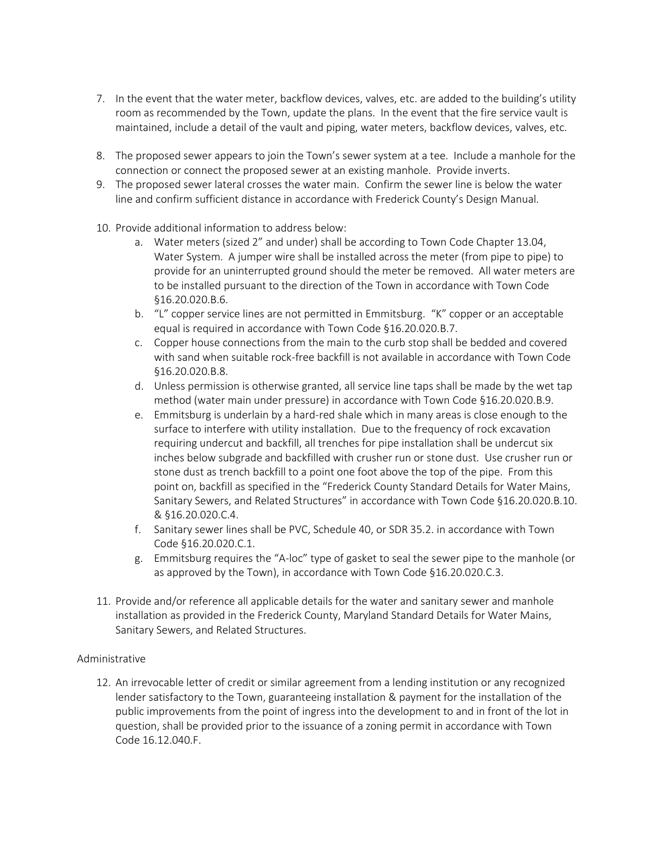- 7. In the event that the water meter, backflow devices, valves, etc. are added to the building's utility room as recommended by the Town, update the plans. In the event that the fire service vault is maintained, include a detail of the vault and piping, water meters, backflow devices, valves, etc.
- 8. The proposed sewer appears to join the Town's sewer system at a tee. Include a manhole for the connection or connect the proposed sewer at an existing manhole. Provide inverts.
- 9. The proposed sewer lateral crosses the water main. Confirm the sewer line is below the water line and confirm sufficient distance in accordance with Frederick County's Design Manual.
- 10. Provide additional information to address below:
	- a. Water meters (sized 2" and under) shall be according to Town Code Chapter 13.04, Water System. A jumper wire shall be installed across the meter (from pipe to pipe) to provide for an uninterrupted ground should the meter be removed. All water meters are to be installed pursuant to the direction of the Town in accordance with Town Code §16.20.020.B.6.
	- b. "L" copper service lines are not permitted in Emmitsburg. "K" copper or an acceptable equal is required in accordance with Town Code §16.20.020.B.7.
	- c. Copper house connections from the main to the curb stop shall be bedded and covered with sand when suitable rock-free backfill is not available in accordance with Town Code §16.20.020.B.8.
	- d. Unless permission is otherwise granted, all service line taps shall be made by the wet tap method (water main under pressure) in accordance with Town Code §16.20.020.B.9.
	- e. Emmitsburg is underlain by a hard-red shale which in many areas is close enough to the surface to interfere with utility installation. Due to the frequency of rock excavation requiring undercut and backfill, all trenches for pipe installation shall be undercut six inches below subgrade and backfilled with crusher run or stone dust. Use crusher run or stone dust as trench backfill to a point one foot above the top of the pipe. From this point on, backfill as specified in the "Frederick County Standard Details for Water Mains, Sanitary Sewers, and Related Structures" in accordance with Town Code §16.20.020.B.10. & §16.20.020.C.4.
	- f. Sanitary sewer lines shall be PVC, Schedule 40, or SDR 35.2. in accordance with Town Code §16.20.020.C.1.
	- g. Emmitsburg requires the "A-loc" type of gasket to seal the sewer pipe to the manhole (or as approved by the Town), in accordance with Town Code §16.20.020.C.3.
- 11. Provide and/or reference all applicable details for the water and sanitary sewer and manhole installation as provided in the Frederick County, Maryland Standard Details for Water Mains, Sanitary Sewers, and Related Structures.

## Administrative

12. An irrevocable letter of credit or similar agreement from a lending institution or any recognized lender satisfactory to the Town, guaranteeing installation & payment for the installation of the public improvements from the point of ingress into the development to and in front of the lot in question, shall be provided prior to the issuance of a zoning permit in accordance with Town Code 16.12.040.F.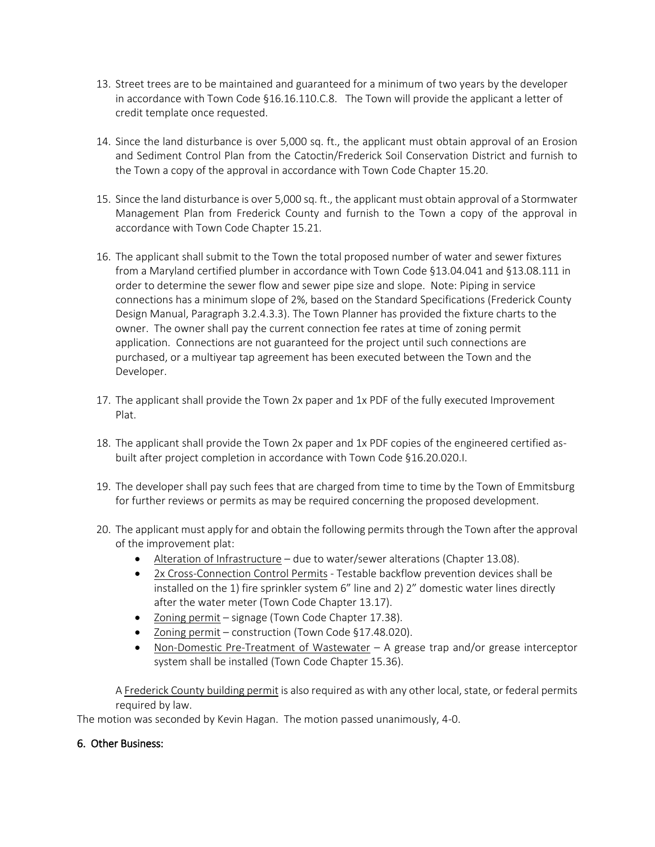- 13. Street trees are to be maintained and guaranteed for a minimum of two years by the developer in accordance with Town Code §16.16.110.C.8. The Town will provide the applicant a letter of credit template once requested.
- 14. Since the land disturbance is over 5,000 sq. ft., the applicant must obtain approval of an Erosion and Sediment Control Plan from the Catoctin/Frederick Soil Conservation District and furnish to the Town a copy of the approval in accordance with Town Code Chapter 15.20.
- 15. Since the land disturbance is over 5,000 sq. ft., the applicant must obtain approval of a Stormwater Management Plan from Frederick County and furnish to the Town a copy of the approval in accordance with Town Code Chapter 15.21.
- 16. The applicant shall submit to the Town the total proposed number of water and sewer fixtures from a Maryland certified plumber in accordance with Town Code §13.04.041 and §13.08.111 in order to determine the sewer flow and sewer pipe size and slope. Note: Piping in service connections has a minimum slope of 2%, based on the Standard Specifications (Frederick County Design Manual, Paragraph 3.2.4.3.3). The Town Planner has provided the fixture charts to the owner. The owner shall pay the current connection fee rates at time of zoning permit application. Connections are not guaranteed for the project until such connections are purchased, or a multiyear tap agreement has been executed between the Town and the Developer.
- 17. The applicant shall provide the Town 2x paper and 1x PDF of the fully executed Improvement Plat.
- 18. The applicant shall provide the Town 2x paper and 1x PDF copies of the engineered certified asbuilt after project completion in accordance with Town Code §16.20.020.I.
- 19. The developer shall pay such fees that are charged from time to time by the Town of Emmitsburg for further reviews or permits as may be required concerning the proposed development.
- 20. The applicant must apply for and obtain the following permits through the Town after the approval of the improvement plat:
	- Alteration of Infrastructure due to water/sewer alterations (Chapter 13.08).
	- 2x Cross-Connection Control Permits Testable backflow prevention devices shall be installed on the 1) fire sprinkler system 6" line and 2) 2" domestic water lines directly after the water meter (Town Code Chapter 13.17).
	- Zoning permit signage (Town Code Chapter 17.38).
	- Zoning permit construction (Town Code §17.48.020).
	- Non-Domestic Pre-Treatment of Wastewater A grease trap and/or grease interceptor system shall be installed (Town Code Chapter 15.36).

A Frederick County building permit is also required as with any other local, state, or federal permits required by law.

The motion was seconded by Kevin Hagan. The motion passed unanimously, 4-0.

## 6. Other Business: